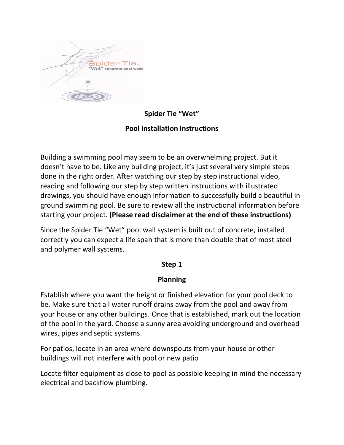

**Spider Tie "Wet"**

# **Pool installation instructions**

Building a swimming pool may seem to be an overwhelming project. But it doesn't have to be. Like any building project, it's just several very simple steps done in the right order. After watching our step by step instructional video, reading and following our step by step written instructions with illustrated drawings, you should have enough information to successfully build a beautiful in ground swimming pool. Be sure to review all the instructional information before starting your project. **(Please read disclaimer at the end of these instructions)**

Since the Spider Tie "Wet" pool wall system is built out of concrete, installed correctly you can expect a life span that is more than double that of most steel and polymer wall systems.

#### **Step 1**

#### **Planning**

Establish where you want the height or finished elevation for your pool deck to be. Make sure that all water runoff drains away from the pool and away from your house or any other buildings. Once that is established, mark out the location of the pool in the yard. Choose a sunny area avoiding underground and overhead wires, pipes and septic systems.

For patios, locate in an area where downspouts from your house or other buildings will not interfere with pool or new patio

Locate filter equipment as close to pool as possible keeping in mind the necessary electrical and backflow plumbing.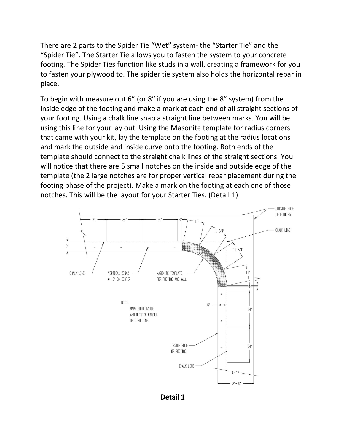There are 2 parts to the Spider Tie "Wet" system- the "Starter Tie" and the "Spider Tie". The Starter Tie allows you to fasten the system to your concrete footing. The Spider Ties function like studs in a wall, creating a framework for you to fasten your plywood to. The spider tie system also holds the horizontal rebar in place.

To begin with measure out 6" (or 8" if you are using the 8" system) from the inside edge of the footing and make a mark at each end of all straight sections of your footing. Using a chalk line snap a straight line between marks. You will be using this line for your lay out. Using the Masonite template for radius corners that came with your kit, lay the template on the footing at the radius locations and mark the outside and inside curve onto the footing. Both ends of the template should connect to the straight chalk lines of the straight sections. You will notice that there are 5 small notches on the inside and outside edge of the template (the 2 large notches are for proper vertical rebar placement during the footing phase of the project). Make a mark on the footing at each one of those notches. This will be the layout for your Starter Ties. (Detail 1)



Detail 1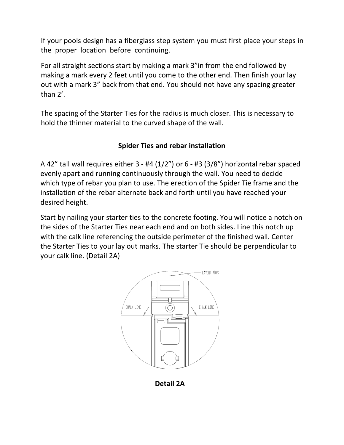If your pools design has a fiberglass step system you must first place your steps in the proper location before continuing.

For all straight sections start by making a mark 3"in from the end followed by making a mark every 2 feet until you come to the other end. Then finish your lay out with a mark 3" back from that end. You should not have any spacing greater than 2'.

The spacing of the Starter Ties for the radius is much closer. This is necessary to hold the thinner material to the curved shape of the wall.

## **Spider Ties and rebar installation**

A 42" tall wall requires either  $3 - #4 (1/2")$  or  $6 - #3 (3/8")$  horizontal rebar spaced evenly apart and running continuously through the wall. You need to decide which type of rebar you plan to use. The erection of the Spider Tie frame and the installation of the rebar alternate back and forth until you have reached your desired height.

Start by nailing your starter ties to the concrete footing. You will notice a notch on the sides of the Starter Ties near each end and on both sides. Line this notch up with the calk line referencing the outside perimeter of the finished wall. Center the Starter Ties to your lay out marks. The starter Tie should be perpendicular to your calk line. (Detail 2A)



**Detail** 2**A**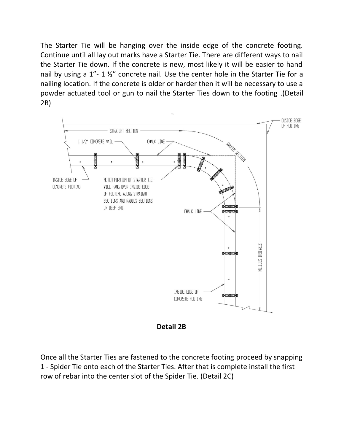The Starter Tie will be hanging over the inside edge of the concrete footing. Continue until all lay out marks have a Starter Tie. There are different ways to nail the Starter Tie down. If the concrete is new, most likely it will be easier to hand nail by using a 1"- 1 ½" concrete nail. Use the center hole in the Starter Tie for a nailing location. If the concrete is older or harder then it will be necessary to use a powder actuated tool or gun to nail the Starter Ties down to the footing .(Detail 2B)





Once all the Starter Ties are fastened to the concrete footing proceed by snapping 1 - Spider Tie onto each of the Starter Ties. After that is complete install the first row of rebar into the center slot of the Spider Tie. (Detail 2C)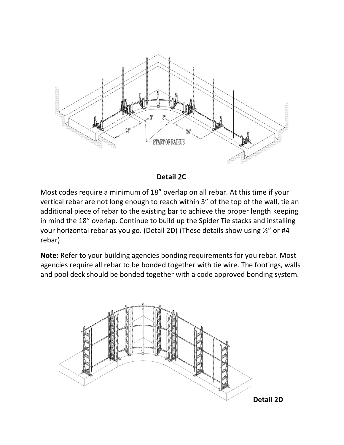

#### **Detail** 2**C**

Most codes require a minimum of 18" overlap on all rebar. At this time if your vertical rebar are not long enough to reach within 3" of the top of the wall, tie an additional piece of rebar to the existing bar to achieve the proper length keeping in mind the 18" overlap. Continue to build up the Spider Tie stacks and installing your horizontal rebar as you go. (Detail 2D) (These details show using ½" or #4 rebar)

**Note:** Refer to your building agencies bonding requirements for you rebar. Most agencies require all rebar to be bonded together with tie wire. The footings, walls and pool deck should be bonded together with a code approved bonding system.

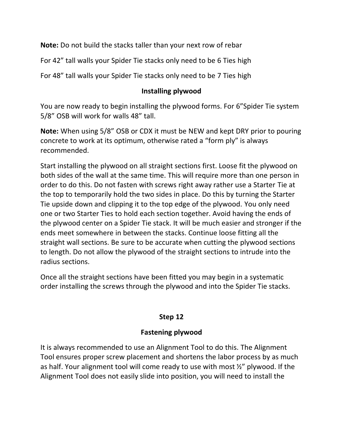**Note:** Do not build the stacks taller than your next row of rebar

For 42" tall walls your Spider Tie stacks only need to be 6 Ties high

For 48" tall walls your Spider Tie stacks only need to be 7 Ties high

### **Installing plywood**

You are now ready to begin installing the plywood forms. For 6"Spider Tie system 5/8" OSB will work for walls 48" tall.

**Note:** When using 5/8" OSB or CDX it must be NEW and kept DRY prior to pouring concrete to work at its optimum, otherwise rated a "form ply" is always recommended.

Start installing the plywood on all straight sections first. Loose fit the plywood on both sides of the wall at the same time. This will require more than one person in order to do this. Do not fasten with screws right away rather use a Starter Tie at the top to temporarily hold the two sides in place. Do this by turning the Starter Tie upside down and clipping it to the top edge of the plywood. You only need one or two Starter Ties to hold each section together. Avoid having the ends of the plywood center on a Spider Tie stack. It will be much easier and stronger if the ends meet somewhere in between the stacks. Continue loose fitting all the straight wall sections. Be sure to be accurate when cutting the plywood sections to length. Do not allow the plywood of the straight sections to intrude into the radius sections.

Once all the straight sections have been fitted you may begin in a systematic order installing the screws through the plywood and into the Spider Tie stacks.

## **Step 12**

#### **Fastening plywood**

It is always recommended to use an Alignment Tool to do this. The Alignment Tool ensures proper screw placement and shortens the labor process by as much as half. Your alignment tool will come ready to use with most ½" plywood. If the Alignment Tool does not easily slide into position, you will need to install the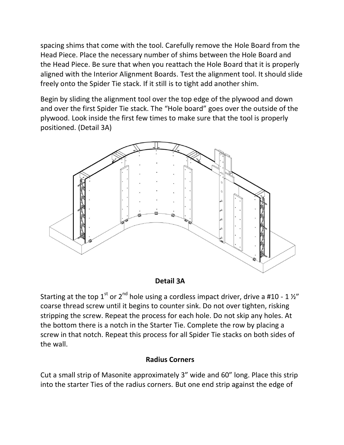spacing shims that come with the tool. Carefully remove the Hole Board from the Head Piece. Place the necessary number of shims between the Hole Board and the Head Piece. Be sure that when you reattach the Hole Board that it is properly aligned with the Interior Alignment Boards. Test the alignment tool. It should slide freely onto the Spider Tie stack. If it still is to tight add another shim.

Begin by sliding the alignment tool over the top edge of the plywood and down and over the first Spider Tie stack. The "Hole board" goes over the outside of the plywood. Look inside the first few times to make sure that the tool is properly positioned. (Detail 3A)



#### **Detail** 3**A**

Starting at the top  $1^{\text{st}}$  or  $2^{\text{nd}}$  hole using a cordless impact driver, drive a #10 - 1 ½" coarse thread screw until it begins to counter sink. Do not over tighten, risking stripping the screw. Repeat the process for each hole. Do not skip any holes. At the bottom there is a notch in the Starter Tie. Complete the row by placing a screw in that notch. Repeat this process for all Spider Tie stacks on both sides of the wall.

#### **Radius Corners**

Cut a small strip of Masonite approximately 3" wide and 60" long. Place this strip into the starter Ties of the radius corners. But one end strip against the edge of